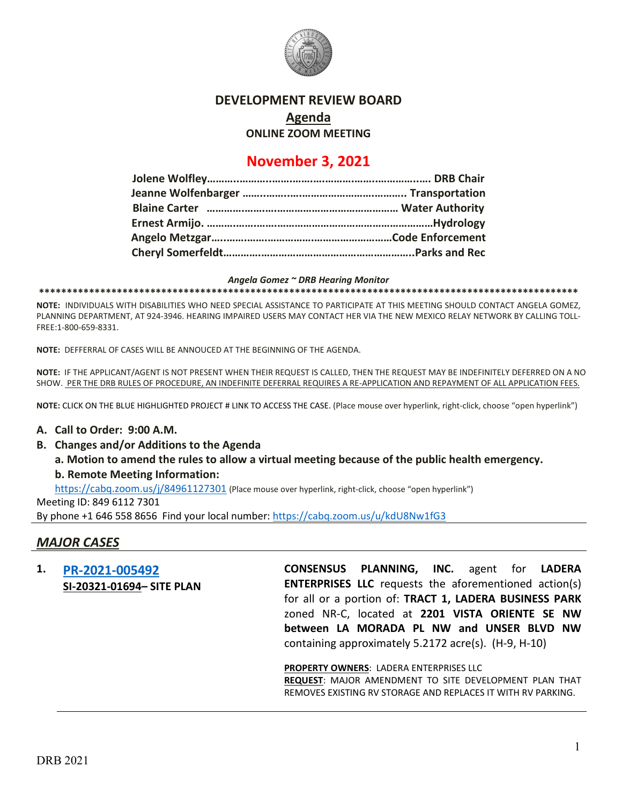

### **DEVELOPMENT REVIEW BOARD**

**Agenda**

**ONLINE ZOOM MEETING**

# **November 3, 2021**

#### *Angela Gomez ~ DRB Hearing Monitor*

**\*\*\*\*\*\*\*\*\*\*\*\*\*\*\*\*\*\*\*\*\*\*\*\*\*\*\*\*\*\*\*\*\*\*\*\*\*\*\*\*\*\*\*\*\*\*\*\*\*\*\*\*\*\*\*\*\*\*\*\*\*\*\*\*\*\*\*\*\*\*\*\*\*\*\*\*\*\*\*\*\*\*\*\*\*\*\*\*\*\*\*\*\*\*\*\*\***

**NOTE:** INDIVIDUALS WITH DISABILITIES WHO NEED SPECIAL ASSISTANCE TO PARTICIPATE AT THIS MEETING SHOULD CONTACT ANGELA GOMEZ, PLANNING DEPARTMENT, AT 924-3946. HEARING IMPAIRED USERS MAY CONTACT HER VIA THE NEW MEXICO RELAY NETWORK BY CALLING TOLL-FREE:1-800-659-8331.

**NOTE:** DEFFERRAL OF CASES WILL BE ANNOUCED AT THE BEGINNING OF THE AGENDA.

**NOTE:** IF THE APPLICANT/AGENT IS NOT PRESENT WHEN THEIR REQUEST IS CALLED, THEN THE REQUEST MAY BE INDEFINITELY DEFERRED ON A NO SHOW. PER THE DRB RULES OF PROCEDURE, AN INDEFINITE DEFERRAL REQUIRES A RE-APPLICATION AND REPAYMENT OF ALL APPLICATION FEES.

**NOTE:** CLICK ON THE BLUE HIGHLIGHTED PROJECT # LINK TO ACCESS THE CASE. (Place mouse over hyperlink, right-click, choose "open hyperlink")

### **A. Call to Order: 9:00 A.M.**

- **B. Changes and/or Additions to the Agenda**
	- **a. Motion to amend the rules to allow a virtual meeting because of the public health emergency. b. Remote Meeting Information:**

<https://cabq.zoom.us/j/84961127301> (Place mouse over hyperlink, right-click, choose "open hyperlink")

Meeting ID: 849 6112 7301 By phone +1 646 558 8656 Find your local number:<https://cabq.zoom.us/u/kdU8Nw1fG3>

## *MAJOR CASES*

**1. [PR-2021-005492](http://data.cabq.gov/government/planning/DRB/PR-2021-005492/DRB%20Submittals/PR-2021-005492_Nov_3_2021/Application/PR-2021-005492%20Major%20Amendment%20DRB%20Application.pdf) SI-20321-01694– SITE PLAN** **CONSENSUS PLANNING, INC.** agent for **LADERA ENTERPRISES LLC** requests the aforementioned action(s) for all or a portion of: **TRACT 1, LADERA BUSINESS PARK** zoned NR-C, located at **2201 VISTA ORIENTE SE NW between LA MORADA PL NW and UNSER BLVD NW** containing approximately 5.2172 acre(s). (H-9, H-10)

**PROPERTY OWNERS**: LADERA ENTERPRISES LLC

**REQUEST**: MAJOR AMENDMENT TO SITE DEVELOPMENT PLAN THAT REMOVES EXISTING RV STORAGE AND REPLACES IT WITH RV PARKING.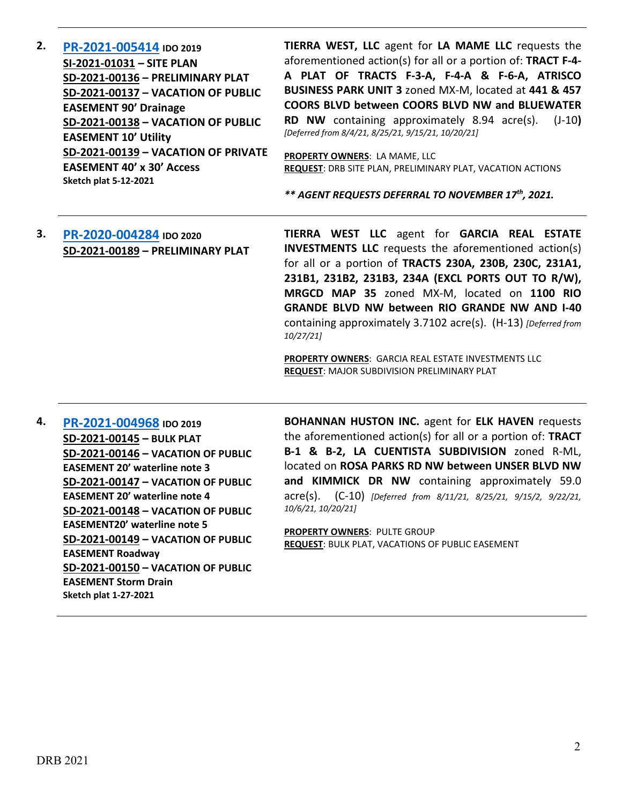**2. [PR-2021-005414](http://data.cabq.gov/government/planning/DRB/PR-2021-005414/DRB%20Submittals/) IDO 2019 SI-2021-01031 – SITE PLAN SD-2021-00136 – PRELIMINARY PLAT SD-2021-00137 – VACATION OF PUBLIC EASEMENT 90' Drainage SD-2021-00138 – VACATION OF PUBLIC EASEMENT 10' Utility SD-2021-00139 – VACATION OF PRIVATE EASEMENT 40' x 30' Access Sketch plat 5-12-2021 TIERRA WEST, LLC** agent for **LA MAME LLC** requests the aforementioned action(s) for all or a portion of: **TRACT F-4- A PLAT OF TRACTS F-3-A, F-4-A & F-6-A, ATRISCO BUSINESS PARK UNIT 3** zoned MX-M, located at **441 & 457 COORS BLVD between COORS BLVD NW and BLUEWATER RD NW** containing approximately 8.94 acre(s). (J-10**)**  *[Deferred from 8/4/21, 8/25/21, 9/15/21, 10/20/21]* **PROPERTY OWNERS**: LA MAME, LLC **REQUEST**: DRB SITE PLAN, PRELIMINARY PLAT, VACATION ACTIONS

*\*\* AGENT REQUESTS DEFERRAL TO NOVEMBER 17th, 2021.*

## **3. [PR-2020-004284](http://data.cabq.gov/government/planning/DRB/PR-2020-004284/PR-2020-004284_Oct_27_2021/Application/) IDO 2020 SD-2021-00189 – PRELIMINARY PLAT**

**TIERRA WEST LLC** agent for **GARCIA REAL ESTATE INVESTMENTS LLC** requests the aforementioned action(s) for all or a portion of **TRACTS 230A, 230B, 230C, 231A1, 231B1, 231B2, 231B3, 234A (EXCL PORTS OUT TO R/W), MRGCD MAP 35** zoned MX-M, located on **1100 RIO GRANDE BLVD NW between RIO GRANDE NW AND I-40** containing approximately 3.7102 acre(s). (H-13) *[Deferred from 10/27/21]*

**PROPERTY OWNERS**: GARCIA REAL ESTATE INVESTMENTS LLC **REQUEST**: MAJOR SUBDIVISION PRELIMINARY PLAT

**4. [PR-2021-004968](http://data.cabq.gov/government/planning/DRB/PR-2021-004968/DRB%20Submittals/PR-2021-004968_AUG_11_2021%20(Bulk%20P.,%20VPE%20x5)/Application/Bulk_Plat_Submittal_Package%20(1).pdf) IDO 2019 SD-2021-00145 – BULK PLAT SD-2021-00146 – VACATION OF PUBLIC EASEMENT 20' waterline note 3 SD-2021-00147 – VACATION OF PUBLIC EASEMENT 20' waterline note 4 SD-2021-00148 – VACATION OF PUBLIC EASEMENT20' waterline note 5 SD-2021-00149 – VACATION OF PUBLIC EASEMENT Roadway SD-2021-00150 – VACATION OF PUBLIC EASEMENT Storm Drain Sketch plat 1-27-2021**

**BOHANNAN HUSTON INC.** agent for **ELK HAVEN** requests the aforementioned action(s) for all or a portion of: **TRACT B-1 & B-2, LA CUENTISTA SUBDIVISION** zoned R-ML, located on **ROSA PARKS RD NW between UNSER BLVD NW and KIMMICK DR NW** containing approximately 59.0 acre(s). (C-10) *[Deferred from 8/11/21, 8/25/21, 9/15/2, 9/22/21, 10/6/21, 10/20/21]*

**PROPERTY OWNERS**: PULTE GROUP **REQUEST**: BULK PLAT, VACATIONS OF PUBLIC EASEMENT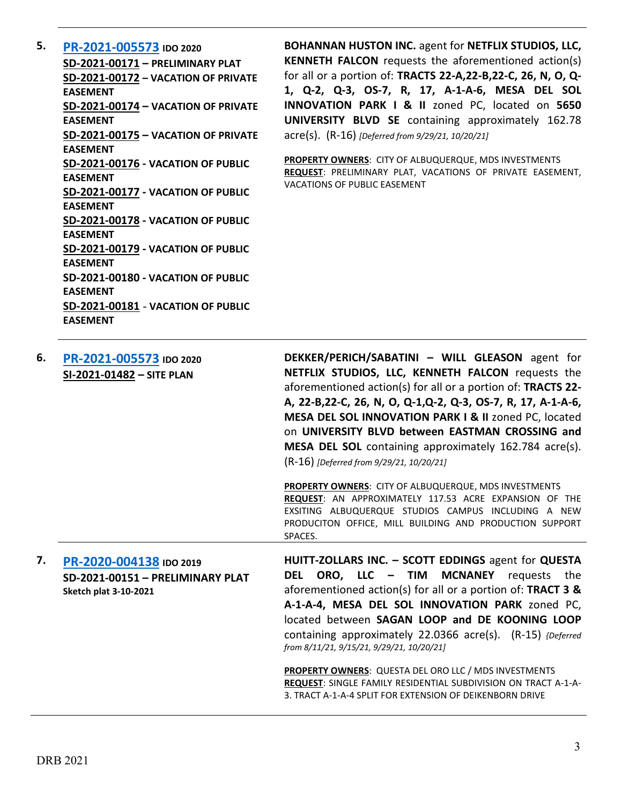**5. [PR-2021-005573](http://data.cabq.gov/government/planning/DRB/PR-2021-005573/DRB%20Submittals/) IDO 2020 SD-2021-00171 – PRELIMINARY PLAT SD-2021-00172 – VACATION OF PRIVATE EASEMENT SD-2021-00174 – VACATION OF PRIVATE EASEMENT SD-2021-00175 – VACATION OF PRIVATE EASEMENT SD-2021-00176 - VACATION OF PUBLIC EASEMENT SD-2021-00177 - VACATION OF PUBLIC EASEMENT SD-2021-00178 - VACATION OF PUBLIC EASEMENT SD-2021-00179 - VACATION OF PUBLIC EASEMENT SD-2021-00180 - VACATION OF PUBLIC EASEMENT SD-2021-00181** - **VACATION OF PUBLIC EASEMENT**

**BOHANNAN HUSTON INC.** agent for **NETFLIX STUDIOS, LLC, KENNETH FALCON** requests the aforementioned action(s) for all or a portion of: **TRACTS 22-A,22-B,22-C, 26, N, O, Q-1, Q-2, Q-3, OS-7, R, 17, A-1-A-6, MESA DEL SOL INNOVATION PARK I & II** zoned PC, located on **5650 UNIVERSITY BLVD SE** containing approximately 162.78 acre(s). (R-16) *[Deferred from 9/29/21, 10/20/21]*

**PROPERTY OWNERS**: CITY OF ALBUQUERQUE, MDS INVESTMENTS **REQUEST**: PRELIMINARY PLAT, VACATIONS OF PRIVATE EASEMENT, VACATIONS OF PUBLIC EASEMENT

| 6. | PR-2021-005573 IDO 2020<br>SI-2021-01482 - SITE PLAN        | DEKKER/PERICH/SABATINI - WILL GLEASON agent for<br>NETFLIX STUDIOS, LLC, KENNETH FALCON requests the<br>aforementioned action(s) for all or a portion of: TRACTS 22-<br>A, 22-B, 22-C, 26, N, O, Q-1, Q-2, Q-3, OS-7, R, 17, A-1-A-6,<br>MESA DEL SOL INNOVATION PARK I & II zoned PC, located<br>on UNIVERSITY BLVD between EASTMAN CROSSING and<br><b>MESA DEL SOL</b> containing approximately 162.784 acre(s).<br>(R-16) [Deferred from 9/29/21, 10/20/21] |
|----|-------------------------------------------------------------|----------------------------------------------------------------------------------------------------------------------------------------------------------------------------------------------------------------------------------------------------------------------------------------------------------------------------------------------------------------------------------------------------------------------------------------------------------------|
|    |                                                             | <b>PROPERTY OWNERS: CITY OF ALBUQUERQUE, MDS INVESTMENTS</b><br><b>REQUEST:</b> AN APPROXIMATELY 117.53 ACRE EXPANSION OF THE<br>EXSITING ALBUQUERQUE STUDIOS CAMPUS INCLUDING A NEW<br>PRODUCITON OFFICE, MILL BUILDING AND PRODUCTION SUPPORT<br>SPACES.                                                                                                                                                                                                     |
| 7. | PR-2020-004138 IDO 2019<br>SD-2021-00151 - PRELIMINARY PLAT | HUITT-ZOLLARS INC. - SCOTT EDDINGS agent for QUESTA<br>ORO, LLC - TIM MCNANEY<br>the.<br><b>DEL</b><br>requests                                                                                                                                                                                                                                                                                                                                                |

**Sketch plat 3-10-2021** aforementioned action(s) for all or a portion of: **TRACT 3 & A-1-A-4, MESA DEL SOL INNOVATION PARK** zoned PC, located between **SAGAN LOOP and DE KOONING LOOP** containing approximately 22.0366 acre(s). (R-15) *{Deferred from 8/11/21, 9/15/21, 9/29/21, 10/20/21]* **PROPERTY OWNERS**: QUESTA DEL ORO LLC / MDS INVESTMENTS **REQUEST**: SINGLE FAMILY RESIDENTIAL SUBDIVISION ON TRACT A-1-A-3. TRACT A-1-A-4 SPLIT FOR EXTENSION OF DEIKENBORN DRIVE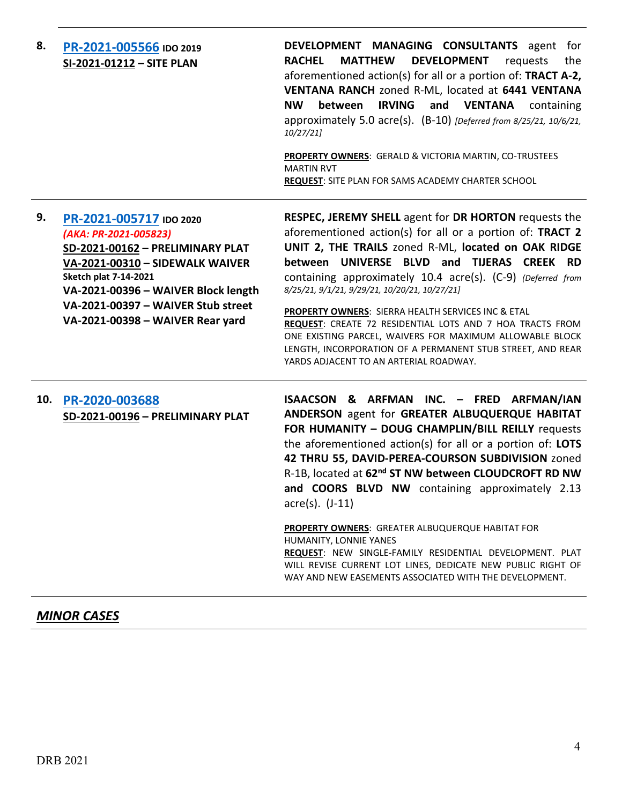| PR-2021-005566 IDO 2019<br>SI-2021-01212 - SITE PLAN                                                                                                                                                                                                                     | DEVELOPMENT MANAGING CONSULTANTS agent for<br><b>RACHEL</b><br><b>MATTHEW</b><br><b>DEVELOPMENT</b><br>requests<br>the<br>aforementioned action(s) for all or a portion of: TRACT A-2,<br>VENTANA RANCH zoned R-ML, located at 6441 VENTANA<br>between<br>and VENTANA<br><b>NW</b><br><b>IRVING</b><br>containing<br>approximately 5.0 acre(s). (B-10) [Deferred from 8/25/21, 10/6/21,<br>10/27/21<br>PROPERTY OWNERS: GERALD & VICTORIA MARTIN, CO-TRUSTEES<br><b>MARTIN RVT</b><br><b>REQUEST:</b> SITE PLAN FOR SAMS ACADEMY CHARTER SCHOOL                                                                                   |
|--------------------------------------------------------------------------------------------------------------------------------------------------------------------------------------------------------------------------------------------------------------------------|-----------------------------------------------------------------------------------------------------------------------------------------------------------------------------------------------------------------------------------------------------------------------------------------------------------------------------------------------------------------------------------------------------------------------------------------------------------------------------------------------------------------------------------------------------------------------------------------------------------------------------------|
| PR-2021-005717 IDO 2020<br>(AKA: PR-2021-005823)<br>SD-2021-00162 - PRELIMINARY PLAT<br>VA-2021-00310 - SIDEWALK WAIVER<br><b>Sketch plat 7-14-2021</b><br>VA-2021-00396 - WAIVER Block length<br>VA-2021-00397 - WAIVER Stub street<br>VA-2021-00398 - WAIVER Rear yard | RESPEC, JEREMY SHELL agent for DR HORTON requests the<br>aforementioned action(s) for all or a portion of: TRACT 2<br>UNIT 2, THE TRAILS zoned R-ML, located on OAK RIDGE<br>between UNIVERSE BLVD and TIJERAS CREEK RD<br>containing approximately 10.4 acre(s). (C-9) (Deferred from<br>8/25/21, 9/1/21, 9/29/21, 10/20/21, 10/27/21]<br>PROPERTY OWNERS: SIERRA HEALTH SERVICES INC & ETAL<br>REQUEST: CREATE 72 RESIDENTIAL LOTS AND 7 HOA TRACTS FROM<br>ONE EXISTING PARCEL, WAIVERS FOR MAXIMUM ALLOWABLE BLOCK<br>LENGTH, INCORPORATION OF A PERMANENT STUB STREET, AND REAR<br>YARDS ADJACENT TO AN ARTERIAL ROADWAY.    |
| PR-2020-003688<br>SD-2021-00196 - PRELIMINARY PLAT                                                                                                                                                                                                                       | ISAACSON & ARFMAN INC. - FRED ARFMAN/IAN<br>ANDERSON agent for GREATER ALBUQUERQUE HABITAT<br>FOR HUMANITY - DOUG CHAMPLIN/BILL REILLY requests<br>the aforementioned action(s) for all or a portion of: LOTS<br>42 THRU 55, DAVID-PEREA-COURSON SUBDIVISION zoned<br>R-1B, located at 62 <sup>nd</sup> ST NW between CLOUDCROFT RD NW<br>and COORS BLVD NW containing approximately 2.13<br>$\text{acre}(s)$ . $(J-11)$<br>PROPERTY OWNERS: GREATER ALBUQUERQUE HABITAT FOR<br>HUMANITY, LONNIE YANES<br>REQUEST: NEW SINGLE-FAMILY RESIDENTIAL DEVELOPMENT. PLAT<br>WILL REVISE CURRENT LOT LINES, DEDICATE NEW PUBLIC RIGHT OF |
|                                                                                                                                                                                                                                                                          |                                                                                                                                                                                                                                                                                                                                                                                                                                                                                                                                                                                                                                   |

## *MINOR CASES*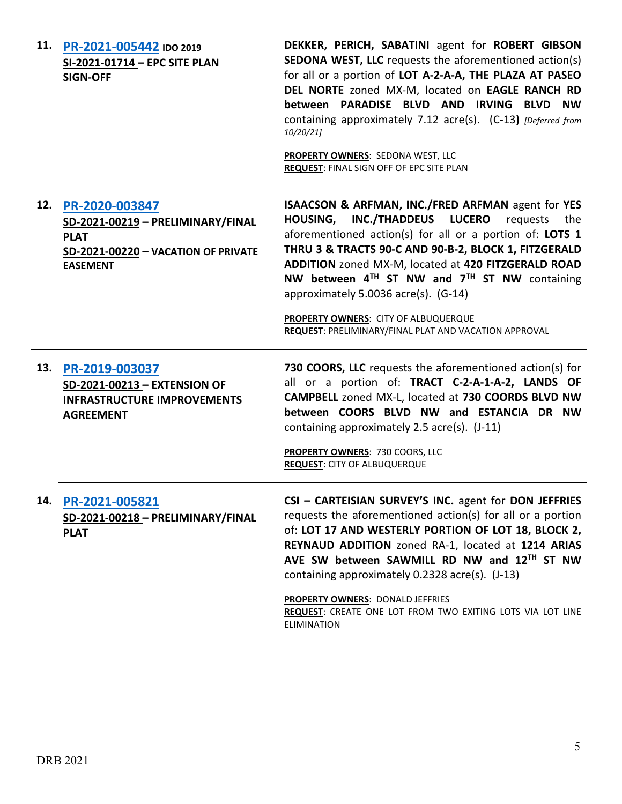| 11. | PR-2021-005442 IDO 2019<br>SI-2021-01714 - EPC SITE PLAN<br><b>SIGN-OFF</b>                                                  | DEKKER, PERICH, SABATINI agent for ROBERT GIBSON<br><b>SEDONA WEST, LLC</b> requests the aforementioned action(s)<br>for all or a portion of LOT A-2-A-A, THE PLAZA AT PASEO<br>DEL NORTE zoned MX-M, located on EAGLE RANCH RD<br>between PARADISE BLVD AND IRVING BLVD NW<br>containing approximately 7.12 acre(s). (C-13) [Deferred from<br>10/20/21]<br>PROPERTY OWNERS: SEDONA WEST, LLC<br><b>REQUEST: FINAL SIGN OFF OF EPC SITE PLAN</b>                                                                           |
|-----|------------------------------------------------------------------------------------------------------------------------------|----------------------------------------------------------------------------------------------------------------------------------------------------------------------------------------------------------------------------------------------------------------------------------------------------------------------------------------------------------------------------------------------------------------------------------------------------------------------------------------------------------------------------|
| 12. | PR-2020-003847<br>SD-2021-00219 - PRELIMINARY/FINAL<br><b>PLAT</b><br>SD-2021-00220 - VACATION OF PRIVATE<br><b>EASEMENT</b> | <b>ISAACSON &amp; ARFMAN, INC./FRED ARFMAN agent for YES</b><br><b>INC./THADDEUS</b><br><b>LUCERO</b><br><b>HOUSING,</b><br>requests<br>the<br>aforementioned action(s) for all or a portion of: LOTS 1<br>THRU 3 & TRACTS 90-C AND 90-B-2, BLOCK 1, FITZGERALD<br>ADDITION zoned MX-M, located at 420 FITZGERALD ROAD<br>NW between $4^{TH}$ ST NW and $7^{TH}$ ST NW containing<br>approximately 5.0036 acre(s). (G-14)<br>PROPERTY OWNERS: CITY OF ALBUQUERQUE<br>REQUEST: PRELIMINARY/FINAL PLAT AND VACATION APPROVAL |
| 13. | PR-2019-003037<br>SD-2021-00213 - EXTENSION OF<br><b>INFRASTRUCTURE IMPROVEMENTS</b><br><b>AGREEMENT</b>                     | 730 COORS, LLC requests the aforementioned action(s) for<br>all or a portion of: TRACT C-2-A-1-A-2, LANDS OF<br>CAMPBELL zoned MX-L, located at 730 COORDS BLVD NW<br>between COORS BLVD NW and ESTANCIA DR NW<br>containing approximately 2.5 acre(s). (J-11)<br><b>PROPERTY OWNERS: 730 COORS, LLC</b><br><b>REQUEST: CITY OF ALBUQUERQUE</b>                                                                                                                                                                            |
| 14. | PR-2021-005821<br>SD-2021-00218 - PRELIMINARY/FINAL<br><b>PLAT</b>                                                           | CSI - CARTEISIAN SURVEY'S INC. agent for DON JEFFRIES<br>requests the aforementioned action(s) for all or a portion<br>of: LOT 17 AND WESTERLY PORTION OF LOT 18, BLOCK 2,<br>REYNAUD ADDITION zoned RA-1, located at 1214 ARIAS<br>AVE SW between SAWMILL RD NW and 12TH ST NW<br>containing approximately 0.2328 acre(s). (J-13)<br><b>PROPERTY OWNERS: DONALD JEFFRIES</b><br>REQUEST: CREATE ONE LOT FROM TWO EXITING LOTS VIA LOT LINE<br><b>ELIMINATION</b>                                                          |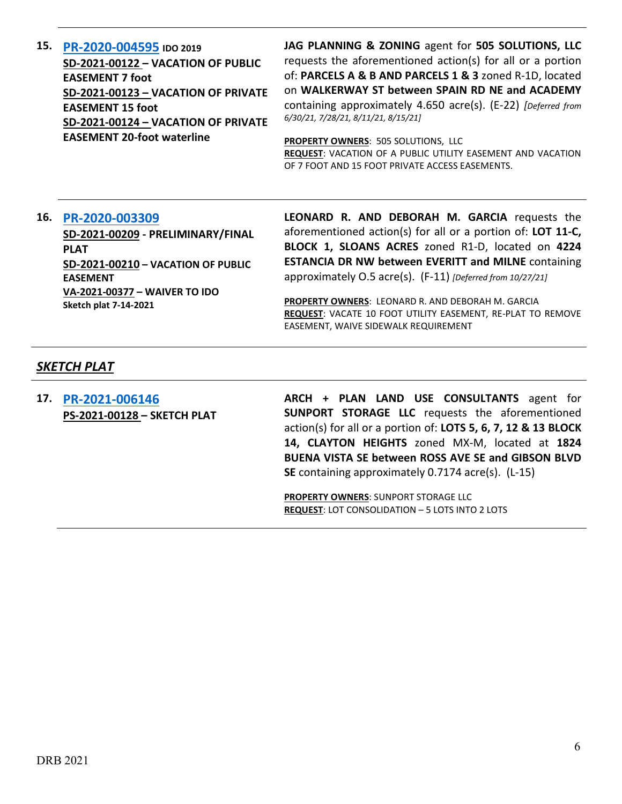**15. [PR-2020-004595](http://data.cabq.gov/government/planning/DRB/PR-2020-004595/DRB%20Submittals/) IDO 2019 SD-2021-00122 – VACATION OF PUBLIC EASEMENT 7 foot SD-2021-00123 – VACATION OF PRIVATE EASEMENT 15 foot SD-2021-00124 – VACATION OF PRIVATE EASEMENT 20-foot waterline**

**JAG PLANNING & ZONING** agent for **505 SOLUTIONS, LLC** requests the aforementioned action(s) for all or a portion of: **PARCELS A & B AND PARCELS 1 & 3** zoned R-1D, located on **WALKERWAY ST between SPAIN RD NE and ACADEMY**  containing approximately 4.650 acre(s). (E-22) *[Deferred from 6/30/21, 7/28/21, 8/11/21, 8/15/21]*

**PROPERTY OWNERS**: 505 SOLUTIONS, LLC **REQUEST**: VACATION OF A PUBLIC UTILITY EASEMENT AND VACATION OF 7 FOOT AND 15 FOOT PRIVATE ACCESS EASEMENTS.

### **16. [PR-2020-003309](http://data.cabq.gov/government/planning/DRB/PR-2020-003309/DRB%20Submittals/)**

**SD-2021-00209 - PRELIMINARY/FINAL PLAT SD-2021-00210 – VACATION OF PUBLIC EASEMENT VA-2021-00377 – WAIVER TO IDO Sketch plat 7-14-2021**

**LEONARD R. AND DEBORAH M. GARCIA** requests the aforementioned action(s) for all or a portion of: **LOT 11-C, BLOCK 1, SLOANS ACRES** zoned R1-D, located on **4224 ESTANCIA DR NW between EVERITT and MILNE** containing approximately O.5 acre(s). (F-11) *[Deferred from 10/27/21]*

**PROPERTY OWNERS**: LEONARD R. AND DEBORAH M. GARCIA **REQUEST**: VACATE 10 FOOT UTILITY EASEMENT, RE-PLAT TO REMOVE EASEMENT, WAIVE SIDEWALK REQUIREMENT

### *SKETCH PLAT*

**17. [PR-2021-006146](http://data.cabq.gov/government/planning/DRB/PR-2021-006146/DRB%20Submittals/PR-2021-006146_Nov_3_2021%20(Sketch)/Application/CLAYTON%20HEIGHTS%20SKETCH%20PLAT.PDF) PS-2021-00128 – SKETCH PLAT** **ARCH + PLAN LAND USE CONSULTANTS** agent for **SUNPORT STORAGE LLC** requests the aforementioned action(s) for all or a portion of: **LOTS 5, 6, 7, 12 & 13 BLOCK 14, CLAYTON HEIGHTS** zoned MX-M, located at **1824 BUENA VISTA SE between ROSS AVE SE and GIBSON BLVD SE** containing approximately 0.7174 acre(s). (L-15)

**PROPERTY OWNERS**: SUNPORT STORAGE LLC **REQUEST**: LOT CONSOLIDATION – 5 LOTS INTO 2 LOTS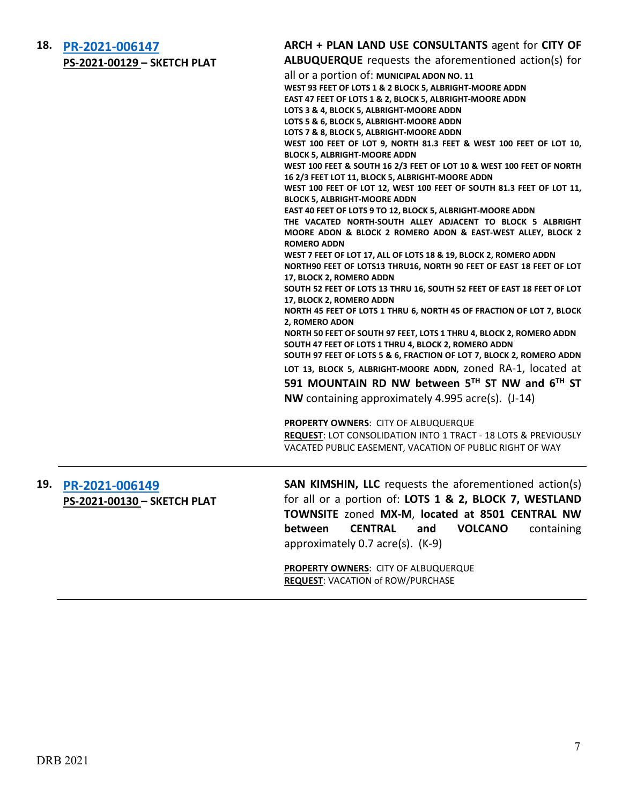**18. [PR-2021-006147](http://data.cabq.gov/government/planning/DRB/PR-2021-006147/DRB%20Submittals/PR-2021-006147_Nov_3_2021%20(Sketch)/Application/WELLS%20PARK%20ADDN%20SKETCH%20PLAT%20(1).PDF) PS-2021-00129 – SKETCH PLAT**

## **ARCH + PLAN LAND USE CONSULTANTS** agent for **CITY OF**

**ALBUQUERQUE** requests the aforementioned action(s) for

|     | <u>13 2021 00125</u> SKLICHTEAT |                                                                           |
|-----|---------------------------------|---------------------------------------------------------------------------|
|     |                                 | all or a portion of: MUNICIPAL ADON NO. 11                                |
|     |                                 | WEST 93 FEET OF LOTS 1 & 2 BLOCK 5, ALBRIGHT-MOORE ADDN                   |
|     |                                 | EAST 47 FEET OF LOTS 1 & 2, BLOCK 5, ALBRIGHT-MOORE ADDN                  |
|     |                                 | LOTS 3 & 4, BLOCK 5, ALBRIGHT-MOORE ADDN                                  |
|     |                                 | LOTS 5 & 6, BLOCK 5, ALBRIGHT-MOORE ADDN                                  |
|     |                                 | LOTS 7 & 8, BLOCK 5, ALBRIGHT-MOORE ADDN                                  |
|     |                                 | WEST 100 FEET OF LOT 9, NORTH 81.3 FEET & WEST 100 FEET OF LOT 10,        |
|     |                                 | <b>BLOCK 5, ALBRIGHT-MOORE ADDN</b>                                       |
|     |                                 | WEST 100 FEET & SOUTH 16 2/3 FEET OF LOT 10 & WEST 100 FEET OF NORTH      |
|     |                                 | 16 2/3 FEET LOT 11, BLOCK 5, ALBRIGHT-MOORE ADDN                          |
|     |                                 | WEST 100 FEET OF LOT 12, WEST 100 FEET OF SOUTH 81.3 FEET OF LOT 11,      |
|     |                                 | <b>BLOCK 5, ALBRIGHT-MOORE ADDN</b>                                       |
|     |                                 | EAST 40 FEET OF LOTS 9 TO 12, BLOCK 5, ALBRIGHT-MOORE ADDN                |
|     |                                 |                                                                           |
|     |                                 | THE VACATED NORTH-SOUTH ALLEY ADJACENT TO BLOCK 5 ALBRIGHT                |
|     |                                 | MOORE ADON & BLOCK 2 ROMERO ADON & EAST-WEST ALLEY, BLOCK 2               |
|     |                                 | <b>ROMERO ADDN</b>                                                        |
|     |                                 | WEST 7 FEET OF LOT 17, ALL OF LOTS 18 & 19, BLOCK 2, ROMERO ADDN          |
|     |                                 | NORTH90 FEET OF LOTS13 THRU16, NORTH 90 FEET OF EAST 18 FEET OF LOT       |
|     |                                 | 17, BLOCK 2, ROMERO ADDN                                                  |
|     |                                 | SOUTH 52 FEET OF LOTS 13 THRU 16, SOUTH 52 FEET OF EAST 18 FEET OF LOT    |
|     |                                 | 17, BLOCK 2, ROMERO ADDN                                                  |
|     |                                 | NORTH 45 FEET OF LOTS 1 THRU 6, NORTH 45 OF FRACTION OF LOT 7, BLOCK      |
|     |                                 | 2, ROMERO ADON                                                            |
|     |                                 | NORTH 50 FEET OF SOUTH 97 FEET, LOTS 1 THRU 4, BLOCK 2, ROMERO ADDN       |
|     |                                 | SOUTH 47 FEET OF LOTS 1 THRU 4, BLOCK 2, ROMERO ADDN                      |
|     |                                 | SOUTH 97 FEET OF LOTS 5 & 6, FRACTION OF LOT 7, BLOCK 2, ROMERO ADDN      |
|     |                                 | LOT 13, BLOCK 5, ALBRIGHT-MOORE ADDN, ZONed RA-1, located at              |
|     |                                 | 591 MOUNTAIN RD NW between 5TH ST NW and 6TH ST                           |
|     |                                 |                                                                           |
|     |                                 | NW containing approximately 4.995 acre(s). (J-14)                         |
|     |                                 | <b>PROPERTY OWNERS: CITY OF ALBUQUERQUE</b>                               |
|     |                                 | <b>REQUEST: LOT CONSOLIDATION INTO 1 TRACT - 18 LOTS &amp; PREVIOUSLY</b> |
|     |                                 | VACATED PUBLIC EASEMENT, VACATION OF PUBLIC RIGHT OF WAY                  |
|     |                                 |                                                                           |
| 19. | PR-2021-006149                  | <b>SAN KIMSHIN, LLC</b> requests the aforementioned action(s)             |
|     |                                 |                                                                           |
|     | PS-2021-00130 - SKETCH PLAT     | for all or a portion of: LOTS 1 & 2, BLOCK 7, WESTLAND                    |
|     |                                 | TOWNSITE zoned MX-M, located at 8501 CENTRAL NW                           |
|     |                                 | <b>CENTRAL</b><br>between<br>and<br><b>VOLCANO</b><br>containing          |
|     |                                 |                                                                           |
|     |                                 | approximately 0.7 acre(s). (K-9)                                          |
|     |                                 | <b>PROPERTY OWNERS: CITY OF ALBUQUERQUE</b>                               |
|     |                                 | <b>REQUEST: VACATION of ROW/PURCHASE</b>                                  |